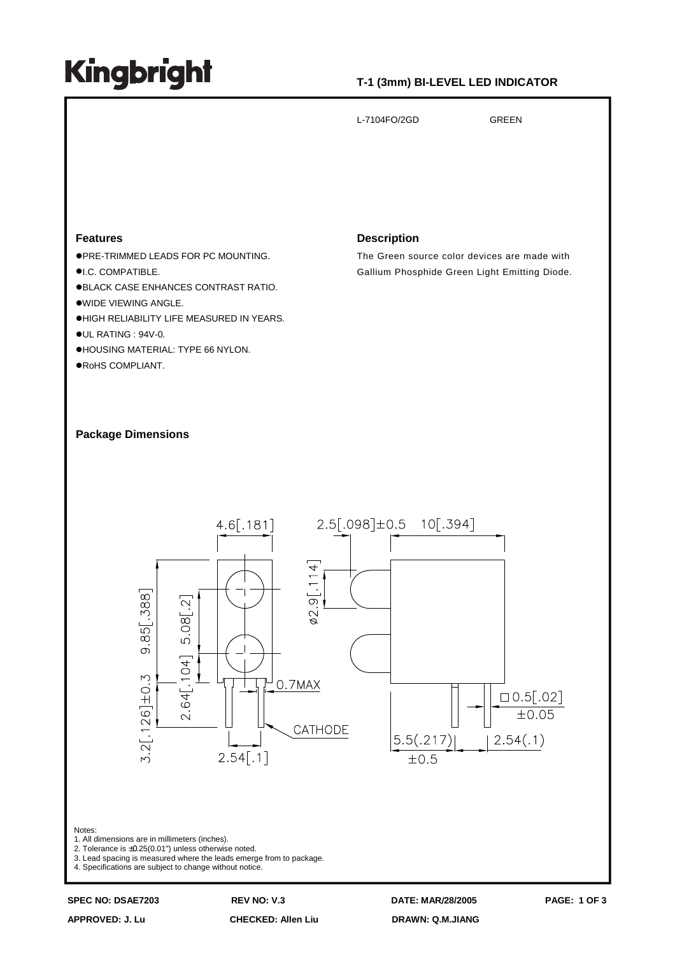# **Kingbright**

## **T-1 (3mm) BI-LEVEL LED INDICATOR**

L-7104FO/2GD GREEN

## **Features**

- PRE-TRIMMED LEADS FOR PC MOUNTING.
- **OLC. COMPATIBLE.**
- BLACK CASE ENHANCES CONTRAST RATIO.
- WIDE VIEWING ANGLE.
- **.HIGH RELIABILITY LIFE MEASURED IN YEARS.**
- UL RATING : 94V-0.
- HOUSING MATERIAL: TYPE 66 NYLON.
- RoHS COMPLIANT.

### **Description**

The Green source color devices are made with Gallium Phosphide Green Light Emitting Diode.

## **Package Dimensions**



### Notes:

- 1. All dimensions are in millimeters (inches).
- 2. Tolerance is ±0.25(0.01") unless otherwise noted.
- 3. Lead spacing is measured where the leads emerge from to package.
- 4. Specifications are subject to change without notice.

**APPROVED: J. Lu CHECKED: Allen Liu DRAWN: Q.M.JIANG**

**SPEC NO: DSAE7203 REV NO: V.3 DATE: MAR**/**28/2005 PAGE: 1 OF 3**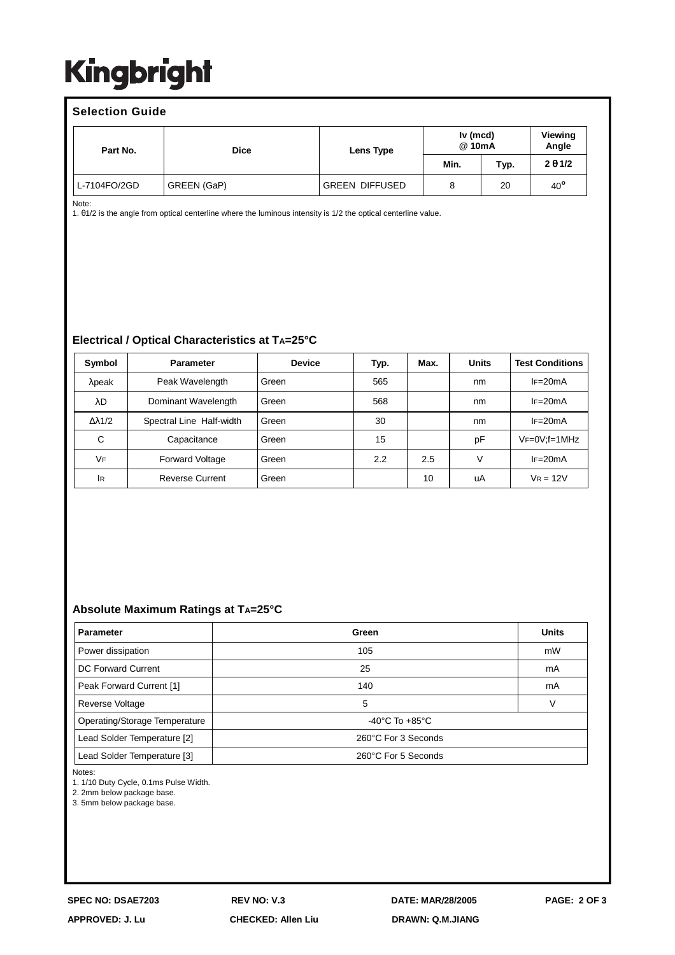# **Kingbright**

### **Selection Guide** Part No.  $\qquad \qquad$  Dice  $\qquad \qquad$  Lens Type **Iv (mcd) @ 10mA Viewing Angle Min. Typ. 2** θ **1/2** L-7104FO/2GD GREEN (GaP) (GREEN DIFFUSED 8 20 40<sup>°</sup>

Note:

1. θ1/2 is the angle from optical centerline where the luminous intensity is 1/2 the optical centerline value.

## **Electrical / Optical Characteristics at TA=25°C**

| Symbol               | <b>Parameter</b>         | <b>Device</b> | Typ. | Max. | <b>Units</b> | <b>Test Conditions</b> |
|----------------------|--------------------------|---------------|------|------|--------------|------------------------|
| λpeak                | Peak Wavelength          | Green         | 565  |      | nm           | $IF = 20mA$            |
| λD                   | Dominant Wavelength      | Green         | 568  |      | nm           | $IF = 20mA$            |
| $\Delta \lambda$ 1/2 | Spectral Line Half-width | Green         | 30   |      | nm           | $IF=20mA$              |
| C                    | Capacitance              | Green         | 15   |      | рF           | $VF=0V; f=1MHz$        |
| VF                   | <b>Forward Voltage</b>   | Green         | 2.2  | 2.5  | v            | $IF=20mA$              |
| lR                   | <b>Reverse Current</b>   | Green         |      | 10   | uA           | $V_R = 12V$            |

## **Absolute Maximum Ratings at TA=25°C**

| <b>Parameter</b>              | Green                              | <b>Units</b> |  |  |
|-------------------------------|------------------------------------|--------------|--|--|
| Power dissipation             | 105                                | mW           |  |  |
| DC Forward Current            | 25                                 | mA           |  |  |
| Peak Forward Current [1]      | 140                                | mA           |  |  |
| Reverse Voltage               | 5                                  |              |  |  |
| Operating/Storage Temperature | $-40^{\circ}$ C To $+85^{\circ}$ C |              |  |  |
| Lead Solder Temperature [2]   | 260°C For 3 Seconds                |              |  |  |
| Lead Solder Temperature [3]   | 260°C For 5 Seconds                |              |  |  |

Notes:

1. 1/10 Duty Cycle, 0.1ms Pulse Width.

2. 2mm below package base.

3. 5mm below package base.